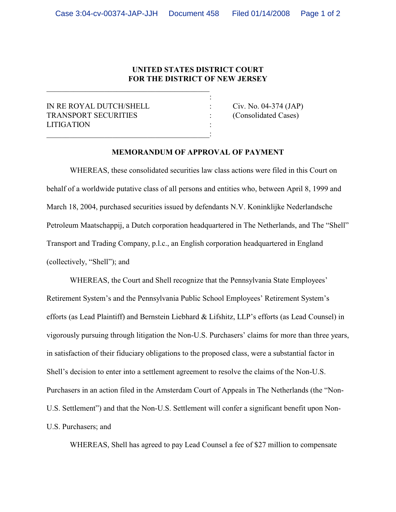## **UNITED STATES DISTRICT COURT FOR THE DISTRICT OF NEW JERSEY**

:

IN RE ROYAL DUTCH/SHELL : Civ. No. 04-374 (JAP) TRANSPORT SECURITIES : (Consolidated Cases) **LITIGATION** 

 $\overline{\phantom{a}}$  , and the set of the set of the set of the set of the set of the set of the set of the set of the set of the set of the set of the set of the set of the set of the set of the set of the set of the set of the s

## **MEMORANDUM OF APPROVAL OF PAYMENT**

WHEREAS, these consolidated securities law class actions were filed in this Court on behalf of a worldwide putative class of all persons and entities who, between April 8, 1999 and March 18, 2004, purchased securities issued by defendants N.V. Koninklijke Nederlandsche Petroleum Maatschappij, a Dutch corporation headquartered in The Netherlands, and The "Shell" Transport and Trading Company, p.l.c., an English corporation headquartered in England (collectively, "Shell"); and

WHEREAS, the Court and Shell recognize that the Pennsylvania State Employees' Retirement System's and the Pennsylvania Public School Employees' Retirement System's efforts (as Lead Plaintiff) and Bernstein Liebhard & Lifshitz, LLP's efforts (as Lead Counsel) in vigorously pursuing through litigation the Non-U.S. Purchasers' claims for more than three years, in satisfaction of their fiduciary obligations to the proposed class, were a substantial factor in Shell's decision to enter into a settlement agreement to resolve the claims of the Non-U.S. Purchasers in an action filed in the Amsterdam Court of Appeals in The Netherlands (the "Non-U.S. Settlement") and that the Non-U.S. Settlement will confer a significant benefit upon Non-U.S. Purchasers; and

WHEREAS, Shell has agreed to pay Lead Counsel a fee of \$27 million to compensate